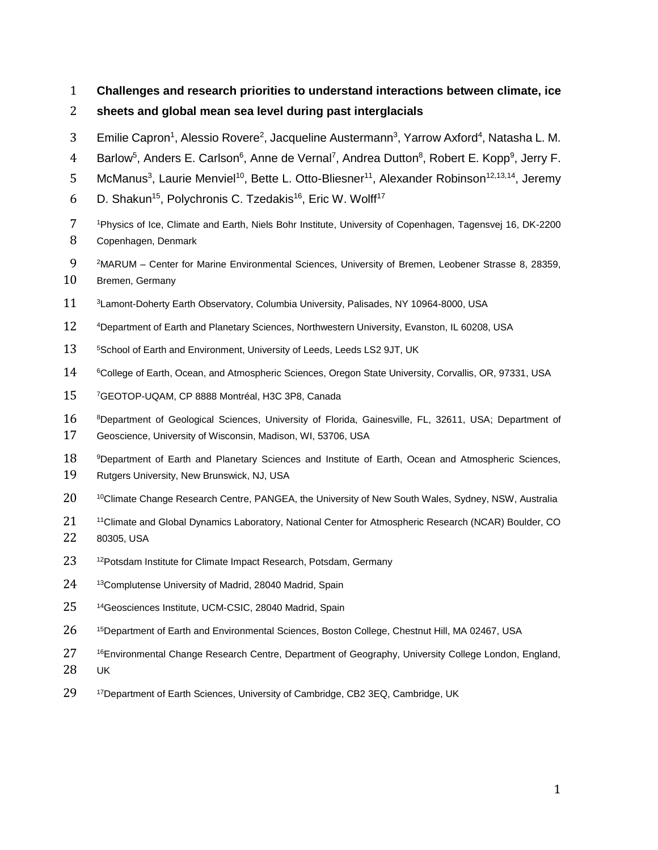1 **Challenges and research priorities to understand interactions between climate, ice** 

## 2 **sheets and global mean sea level during past interglacials**

- 3 Emilie Capron<sup>1</sup>, Alessio Rovere<sup>2</sup>, Jacqueline Austermann<sup>3</sup>, Yarrow Axford<sup>4</sup>, Natasha L. M.
- 4 Barlow<sup>5</sup>, Anders E. Carlson<sup>6</sup>, Anne de Vernal<sup>7</sup>, Andrea Dutton<sup>8</sup>, Robert E. Kopp<sup>9</sup>, Jerry F.
- 5 McManus<sup>3</sup>, Laurie Menviel<sup>10</sup>, Bette L. Otto-Bliesner<sup>11</sup>, Alexander Robinson<sup>12,13,14</sup>, Jeremy
- 6 D. Shakun<sup>15</sup>, Polychronis C. Tzedakis<sup>16</sup>, Eric W. Wolff<sup>17</sup>
- 7 <sup>1</sup>Physics of Ice, Climate and Earth, Niels Bohr Institute, University of Copenhagen, Tagensvej 16, DK-2200 8 Copenhagen, Denmark
- 9 <sup>2</sup>MARUM Center for Marine Environmental Sciences, University of Bremen, Leobener Strasse 8, 28359,
- 10 Bremen, Germany
- 11 <sup>3</sup> Lamont-Doherty Earth Observatory, Columbia University, Palisades, NY 10964-8000, USA
- 12 4Department of Earth and Planetary Sciences, Northwestern University, Evanston, IL 60208, USA
- 13 <sup>5</sup>School of Earth and Environment, University of Leeds, Leeds LS2 9JT, UK
- 14 <sup>6</sup>College of Earth, Ocean, and Atmospheric Sciences, Oregon State University, Corvallis, OR, 97331, USA
- 15 <sup>7</sup>GEOTOP-UQAM, CP 8888 Montréal, H3C 3P8, Canada
- 16 <sup>8</sup>Department of Geological Sciences, University of Florida, Gainesville, FL, 32611, USA; Department of
- 17 Geoscience, University of Wisconsin, Madison, WI, 53706, USA
- 18 <sup>9</sup>Department of Earth and Planetary Sciences and Institute of Earth, Ocean and Atmospheric Sciences,
- 19 Rutgers University, New Brunswick, NJ, USA
- 20 <sup>10</sup>Climate Change Research Centre, PANGEA, the University of New South Wales, Sydney, NSW, Australia
- 21 <sup>11</sup>Climate and Global Dynamics Laboratory, National Center for Atmospheric Research (NCAR) Boulder, CO 22 80305, USA
- 23 <sup>12</sup>Potsdam Institute for Climate Impact Research, Potsdam, Germany
- 24 <sup>13</sup>Complutense University of Madrid, 28040 Madrid, Spain
- 25 <sup>14</sup>Geosciences Institute, UCM-CSIC, 28040 Madrid, Spain
- 26 <sup>15</sup>Department of Earth and Environmental Sciences, Boston College, Chestnut Hill, MA 02467, USA
- 27 <sup>16</sup>Environmental Change Research Centre, Department of Geography, University College London, England,
- 28 UK
- 29 <sup>17</sup>Department of Earth Sciences, University of Cambridge, CB2 3EQ, Cambridge, UK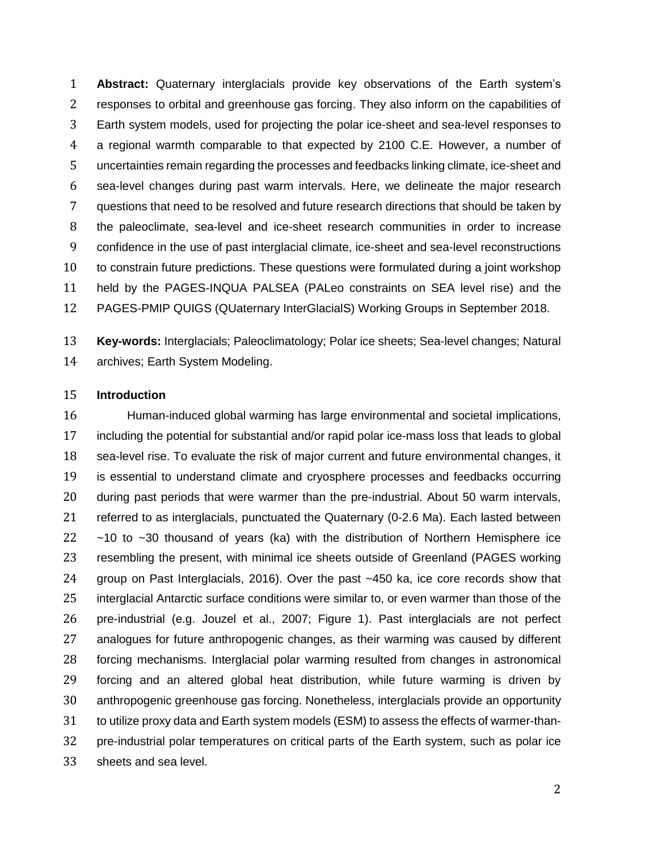**Abstract:** Quaternary interglacials provide key observations of the Earth system's responses to orbital and greenhouse gas forcing. They also inform on the capabilities of Earth system models, used for projecting the polar ice-sheet and sea-level responses to a regional warmth comparable to that expected by 2100 C.E. However, a number of uncertainties remain regarding the processes and feedbacks linking climate, ice-sheet and sea-level changes during past warm intervals. Here, we delineate the major research questions that need to be resolved and future research directions that should be taken by the paleoclimate, sea-level and ice-sheet research communities in order to increase confidence in the use of past interglacial climate, ice-sheet and sea-level reconstructions to constrain future predictions. These questions were formulated during a joint workshop held by the PAGES-INQUA PALSEA (PALeo constraints on SEA level rise) and the PAGES-PMIP [QUIGS](http://pastglobalchanges.org/ini/wg/quigs/intro) (QUaternary InterGlacialS) Working Groups in September 2018.

 **Key-words:** Interglacials; Paleoclimatology; Polar ice sheets; Sea-level changes; Natural archives; Earth System Modeling.

#### **Introduction**

 Human-induced global warming has large environmental and societal implications, including the potential for substantial and/or rapid polar ice-mass loss that leads to global sea-level rise. To evaluate the risk of major current and future environmental changes, it is essential to understand climate and cryosphere processes and feedbacks occurring during past periods that were warmer than the pre-industrial. About 50 warm intervals, referred to as interglacials, punctuated the Quaternary (0-2.6 Ma). Each lasted between ~10 to ~30 thousand of years (ka) with the distribution of Northern Hemisphere ice resembling the present, with minimal ice sheets outside of Greenland (PAGES working group on Past Interglacials, 2016). Over the past ~450 ka, ice core records show that interglacial Antarctic surface conditions were similar to, or even warmer than those of the pre-industrial (e.g. Jouzel et al., 2007; Figure 1). Past interglacials are not perfect analogues for future anthropogenic changes, as their warming was caused by different forcing mechanisms. Interglacial polar warming resulted from changes in astronomical forcing and an altered global heat distribution, while future warming is driven by anthropogenic greenhouse gas forcing. Nonetheless, interglacials provide an opportunity to utilize proxy data and Earth system models (ESM) to assess the effects of warmer-than- pre-industrial polar temperatures on critical parts of the Earth system, such as polar ice sheets and sea level.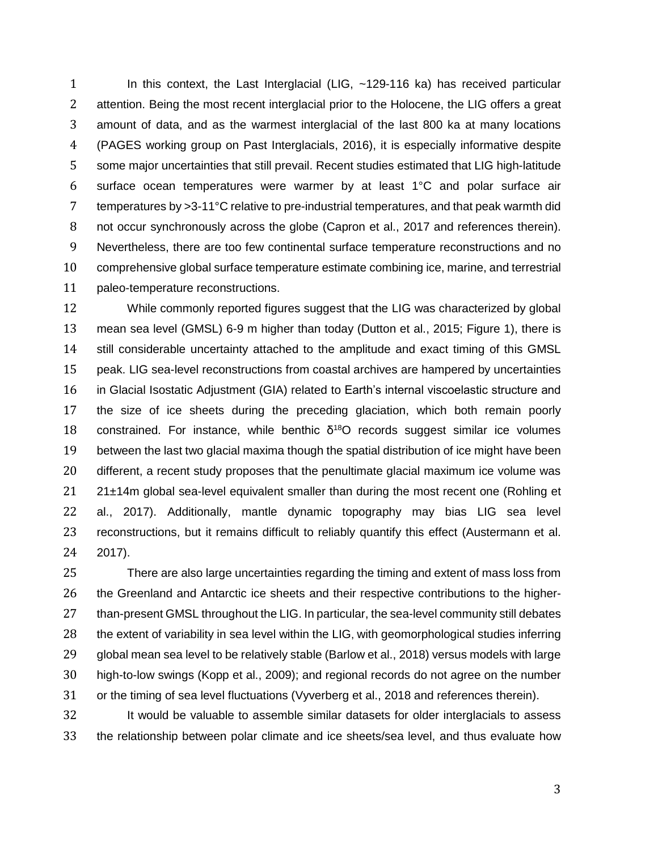1 In this context, the Last Interglacial (LIG, ~129-116 ka) has received particular 2 attention. Being the most recent interglacial prior to the Holocene, the LIG offers a great amount of data, and as the warmest interglacial of the last 800 ka at many locations (PAGES working group on Past Interglacials, 2016), it is especially informative despite some major uncertainties that still prevail. Recent studies estimated that LIG high-latitude surface ocean temperatures were warmer by at least 1°C and polar surface air temperatures by >3-11°C relative to pre-industrial temperatures, and that peak warmth did not occur synchronously across the globe (Capron et al., 2017 and references therein). Nevertheless, there are too few continental surface temperature reconstructions and no comprehensive global surface temperature estimate combining ice, marine, and terrestrial paleo-temperature reconstructions.

 While commonly reported figures suggest that the LIG was characterized by global mean sea level (GMSL) 6-9 m higher than today (Dutton et al., 2015; Figure 1), there is still considerable uncertainty attached to the amplitude and exact timing of this GMSL peak. LIG sea-level reconstructions from coastal archives are hampered by uncertainties in Glacial Isostatic Adjustment (GIA) related to Earth's internal viscoelastic structure and the size of ice sheets during the preceding glaciation, which both remain poorly 18 constrained. For instance, while benthic  $δ<sup>18</sup>O$  records suggest similar ice volumes between the last two glacial maxima though the spatial distribution of ice might have been different, a recent study proposes that the penultimate glacial maximum ice volume was 21 21±14m global sea-level equivalent smaller than during the most recent one (Rohling et al., 2017). Additionally, mantle dynamic topography may bias LIG sea level reconstructions, but it remains difficult to reliably quantify this effect (Austermann et al. 2017).

 There are also large uncertainties regarding the timing and extent of mass loss from the Greenland and Antarctic ice sheets and their respective contributions to the higher-27 than-present GMSL throughout the LIG. In particular, the sea-level community still debates the extent of variability in sea level within the LIG, with geomorphological studies inferring global mean sea level to be relatively stable (Barlow et al., 2018) versus models with large high-to-low swings (Kopp et al., 2009); and regional records do not agree on the number or the timing of sea level fluctuations (Vyverberg et al., 2018 and references therein).

 It would be valuable to assemble similar datasets for older interglacials to assess the relationship between polar climate and ice sheets/sea level, and thus evaluate how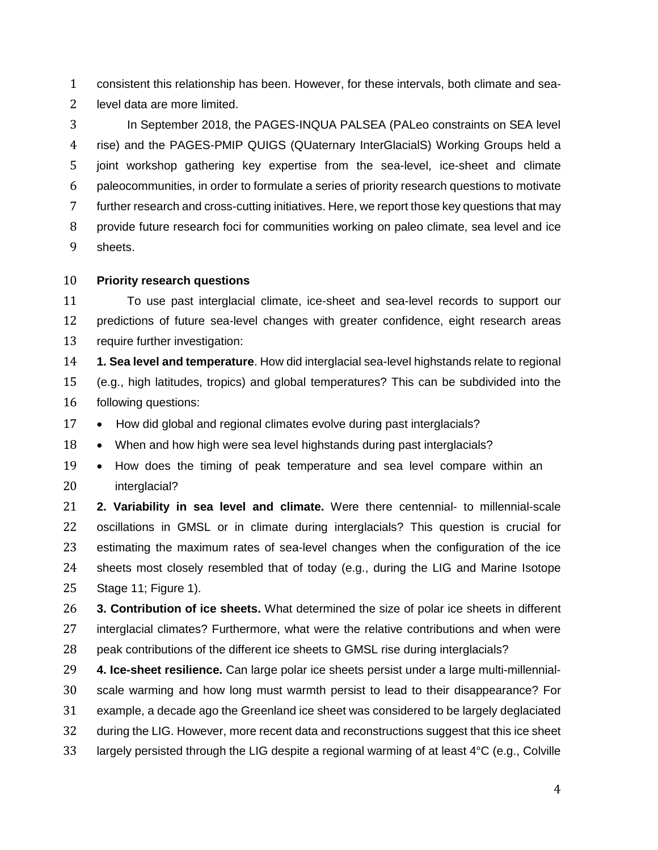consistent this relationship has been. However, for these intervals, both climate and sea-level data are more limited.

 In September 2018, the PAGES-INQUA PALSEA (PALeo constraints on SEA level rise) and the PAGES-PMIP [QUIGS](http://pastglobalchanges.org/ini/wg/quigs/intro) (QUaternary InterGlacialS) Working Groups held a joint workshop gathering key expertise from the sea-level, ice-sheet and climate paleocommunities, in order to formulate a series of priority research questions to motivate further research and cross-cutting initiatives. Here, we report those key questions that may provide future research foci for communities working on paleo climate, sea level and ice sheets.

## **Priority research questions**

 To use past interglacial climate, ice-sheet and sea-level records to support our predictions of future sea-level changes with greater confidence, eight research areas require further investigation:

 **1. Sea level and temperature**. How did interglacial sea-level highstands relate to regional (e.g., high latitudes, tropics) and global temperatures? This can be subdivided into the following questions:

17 • How did global and regional climates evolve during past interglacials?

18 • When and how high were sea level highstands during past interglacials?

 • How does the timing of peak temperature and sea level compare within an interglacial?

 **2. Variability in sea level and climate.** Were there centennial- to millennial-scale oscillations in GMSL or in climate during interglacials? This question is crucial for estimating the maximum rates of sea-level changes when the configuration of the ice sheets most closely resembled that of today (e.g., during the LIG and Marine Isotope Stage 11; Figure 1).

 **3. Contribution of ice sheets.** What determined the size of polar ice sheets in different interglacial climates? Furthermore, what were the relative contributions and when were peak contributions of the different ice sheets to GMSL rise during interglacials?

 **4. Ice-sheet resilience.** Can large polar ice sheets persist under a large multi-millennial- scale warming and how long must warmth persist to lead to their disappearance? For example, a decade ago the Greenland ice sheet was considered to be largely deglaciated during the LIG. However, more recent data and reconstructions suggest that this ice sheet 33 largely persisted through the LIG despite a regional warming of at least  $4^{\circ}$ C (e.g., Colville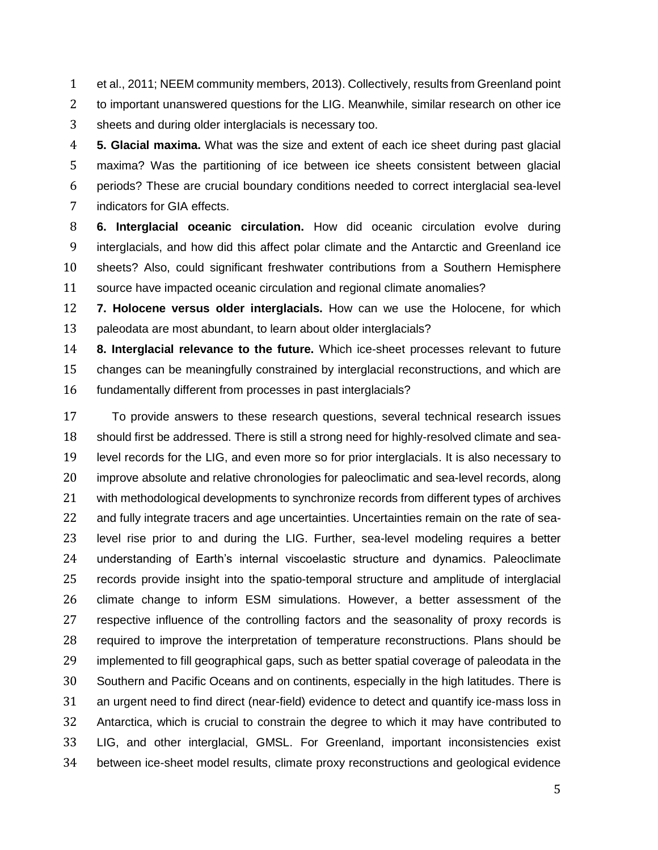et al., 2011; NEEM community members, 2013). Collectively, results from Greenland point to important unanswered questions for the LIG. Meanwhile, similar research on other ice sheets and during older interglacials is necessary too.

 **5. Glacial maxima.** What was the size and extent of each ice sheet during past glacial maxima? Was the partitioning of ice between ice sheets consistent between glacial periods? These are crucial boundary conditions needed to correct interglacial sea-level indicators for GIA effects.

 **6. Interglacial oceanic circulation.** How did oceanic circulation evolve during interglacials, and how did this affect polar climate and the Antarctic and Greenland ice sheets? Also, could significant freshwater contributions from a Southern Hemisphere source have impacted oceanic circulation and regional climate anomalies?

 **7. Holocene versus older interglacials.** How can we use the Holocene, for which paleodata are most abundant, to learn about older interglacials?

 **8. Interglacial relevance to the future.** Which ice-sheet processes relevant to future changes can be meaningfully constrained by interglacial reconstructions, and which are fundamentally different from processes in past interglacials?

 To provide answers to these research questions, several technical research issues should first be addressed. There is still a strong need for highly-resolved climate and sea- level records for the LIG, and even more so for prior interglacials. It is also necessary to improve absolute and relative chronologies for paleoclimatic and sea-level records, along with methodological developments to synchronize records from different types of archives and fully integrate tracers and age uncertainties. Uncertainties remain on the rate of sea- level rise prior to and during the LIG. Further, sea-level modeling requires a better understanding of Earth's internal viscoelastic structure and dynamics. Paleoclimate records provide insight into the spatio-temporal structure and amplitude of interglacial climate change to inform ESM simulations. However, a better assessment of the respective influence of the controlling factors and the seasonality of proxy records is required to improve the interpretation of temperature reconstructions. Plans should be implemented to fill geographical gaps, such as better spatial coverage of paleodata in the Southern and Pacific Oceans and on continents, especially in the high latitudes. There is an urgent need to find direct (near-field) evidence to detect and quantify ice-mass loss in Antarctica, which is crucial to constrain the degree to which it may have contributed to LIG, and other interglacial, GMSL. For Greenland, important inconsistencies exist between ice-sheet model results, climate proxy reconstructions and geological evidence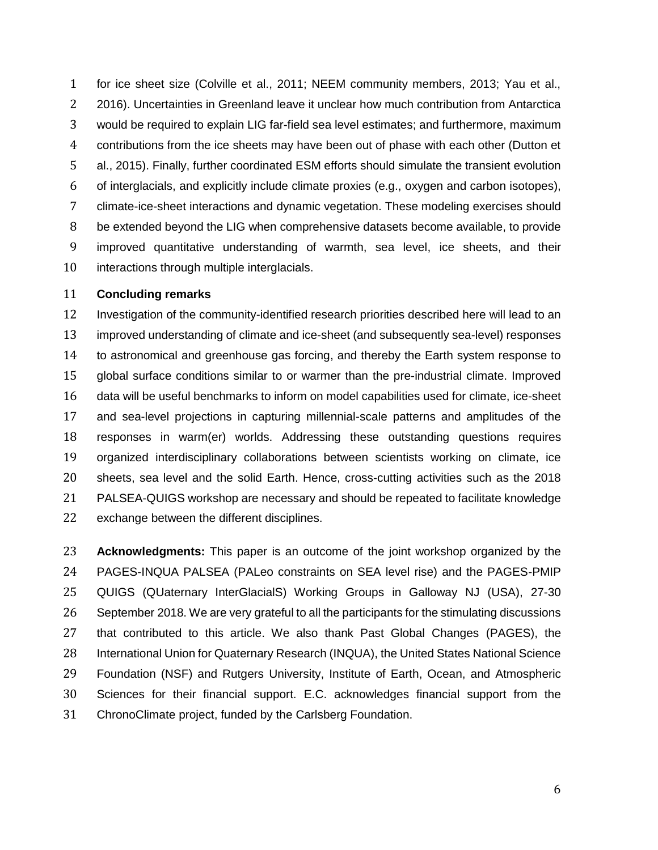for ice sheet size (Colville et al., 2011; NEEM community members, 2013; Yau et al., 2016). Uncertainties in Greenland leave it unclear how much contribution from Antarctica would be required to explain LIG far-field sea level estimates; and furthermore, maximum contributions from the ice sheets may have been out of phase with each other (Dutton et al., 2015). Finally, further coordinated ESM efforts should simulate the transient evolution of interglacials, and explicitly include climate proxies (e.g., oxygen and carbon isotopes), climate-ice-sheet interactions and dynamic vegetation. These modeling exercises should be extended beyond the LIG when comprehensive datasets become available, to provide improved quantitative understanding of warmth, sea level, ice sheets, and their interactions through multiple interglacials.

#### **Concluding remarks**

 Investigation of the community-identified research priorities described here will lead to an improved understanding of climate and ice-sheet (and subsequently sea-level) responses to astronomical and greenhouse gas forcing, and thereby the Earth system response to global surface conditions similar to or warmer than the pre-industrial climate. Improved data will be useful benchmarks to inform on model capabilities used for climate, ice-sheet and sea-level projections in capturing millennial-scale patterns and amplitudes of the responses in warm(er) worlds. Addressing these outstanding questions requires organized interdisciplinary collaborations between scientists working on climate, ice sheets, sea level and the solid Earth. Hence, cross-cutting activities such as the 2018 PALSEA-QUIGS workshop are necessary and should be repeated to facilitate knowledge exchange between the different disciplines.

 **Acknowledgments:** This paper is an outcome of the joint workshop organized by the PAGES-INQUA PALSEA (PALeo constraints on SEA level rise) and the PAGES-PMIP [QUIGS](http://pastglobalchanges.org/ini/wg/quigs/intro) (QUaternary InterGlacialS) Working Groups in Galloway NJ (USA), 27-30 26 September 2018. We are very grateful to all the participants for the stimulating discussions that contributed to this article. We also thank Past Global Changes (PAGES), the International Union for Quaternary Research (INQUA), the United States National Science Foundation (NSF) and Rutgers University, Institute of Earth, Ocean, and Atmospheric Sciences for their financial support. E.C. acknowledges financial support from the ChronoClimate project, funded by the Carlsberg Foundation.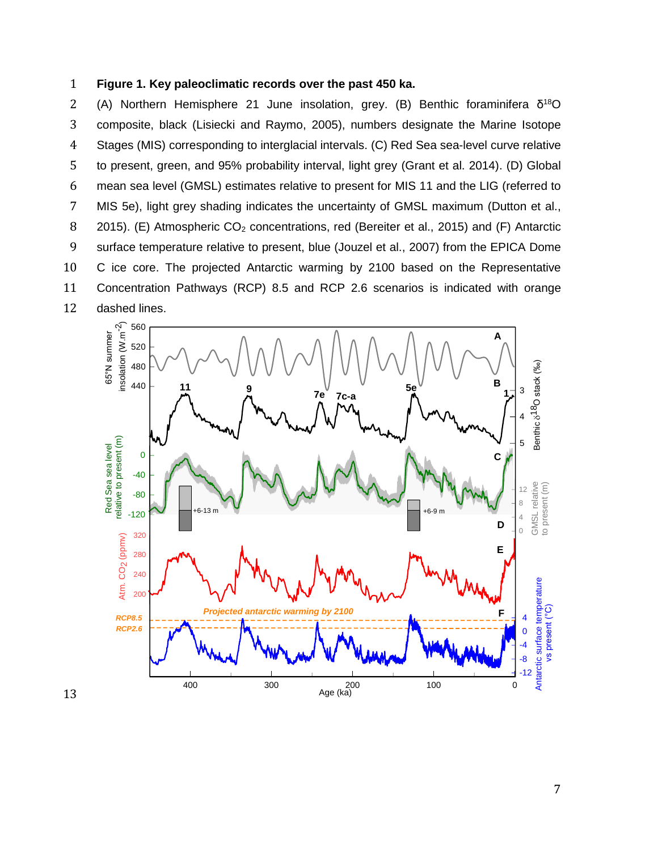## 1 **Figure 1. Key paleoclimatic records over the past 450 ka.**

2 (A) Northern Hemisphere 21 June insolation, grey. (B) Benthic foraminifera  $δ^{18}O$  composite, black (Lisiecki and Raymo, 2005), numbers designate the Marine Isotope Stages (MIS) corresponding to interglacial intervals. (C) Red Sea sea-level curve relative to present, green, and 95% probability interval, light grey (Grant et al. 2014). (D) Global mean sea level (GMSL) estimates relative to present for MIS 11 and the LIG (referred to MIS 5e), light grey shading indicates the uncertainty of GMSL maximum (Dutton et al., 8 2015). (E) Atmospheric CO<sub>2</sub> concentrations, red (Bereiter et al., 2015) and (F) Antarctic surface temperature relative to present, blue (Jouzel et al., 2007) from the EPICA Dome C ice core. The projected Antarctic warming by 2100 based on the Representative Concentration Pathways (RCP) 8.5 and RCP 2.6 scenarios is indicated with orange dashed lines.



13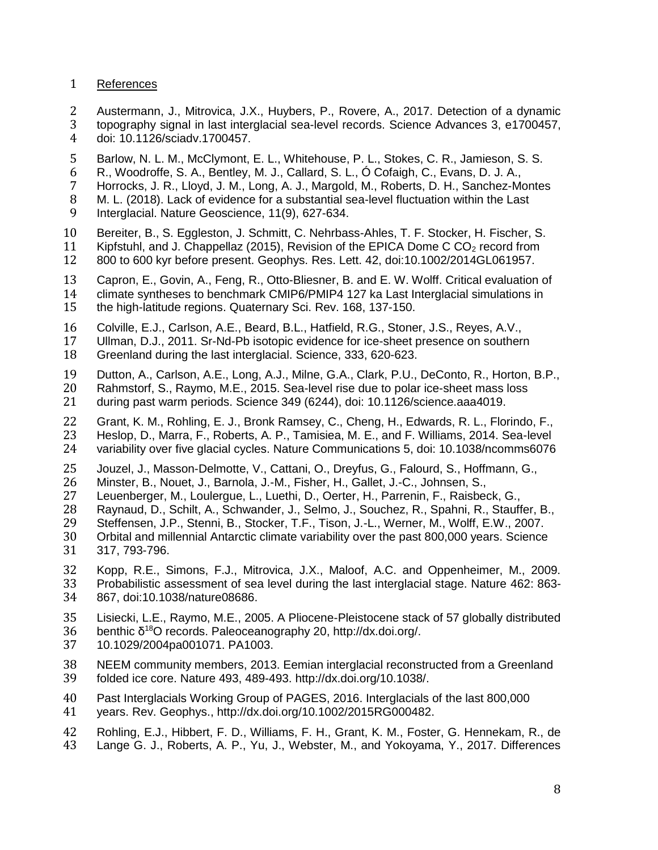# References

- Austermann, J., Mitrovica, J.X., Huybers, P., Rovere, A., 2017. Detection of a dynamic
- topography signal in last interglacial sea-level records. Science Advances 3, e1700457, doi: 10.1126/sciadv.1700457.
- Barlow, N. L. M., McClymont, E. L., Whitehouse, P. L., Stokes, C. R., Jamieson, S. S.
- R., Woodroffe, S. A., Bentley, M. J., Callard, S. L., Ó Cofaigh, C., Evans, D. J. A.,
- Horrocks, J. R., Lloyd, J. M., Long, A. J., Margold, M., Roberts, D. H., Sanchez-Montes
- M. L. (2018). Lack of evidence for a substantial sea-level fluctuation within the Last
- Interglacial. Nature Geoscience, 11(9), 627-634.
- Bereiter, B., S. Eggleston, J. Schmitt, C. Nehrbass-Ahles, T. F. Stocker, H. Fischer, S.
- 11 Kipfstuhl, and J. Chappellaz (2015), Revision of the EPICA Dome C  $CO<sub>2</sub>$  record from
- 800 to 600 kyr before present. Geophys. Res. Lett. 42, doi:10.1002/2014GL061957.
- Capron, E., Govin, A., Feng, R., Otto-Bliesner, B. and E. W. Wolff. Critical evaluation of
- 14 climate syntheses to benchmark CMIP6/PMIP4 127 ka Last Interglacial simulations in<br>15 the high-latitude regions. Quaternary Sci. Rev. 168, 137-150.
- the high-latitude regions. Quaternary Sci. Rev. 168, 137-150.
- Colville, E.J., Carlson, A.E., Beard, B.L., Hatfield, R.G., Stoner, J.S., Reyes, A.V.,
- Ullman, D.J., 2011. Sr-Nd-Pb isotopic evidence for ice-sheet presence on southern Greenland during the last interglacial. Science, 333, 620-623.
- Dutton, A., Carlson, A.E., Long, A.J., Milne, G.A., Clark, P.U., DeConto, R., Horton, B.P.,
- 20 Rahmstorf, S., Raymo, M.E., 2015. Sea-level rise due to polar ice-sheet mass loss<br>21 during past warm periods. Science 349 (6244), doi: 10.1126/science.aaa4019.
- during past warm periods. Science 349 (6244), doi: 10.1126/science.aaa4019.
- Grant, K. M., Rohling, E. J., Bronk Ramsey, C., Cheng, H., Edwards, R. L., Florindo, F.,
- 
- 23 Heslop, D., Marra, F., Roberts, A. P., Tamisiea, M. E., and F. Williams, 2014. Sea-level<br>24 variability over five glacial cycles. Nature Communications 5, doi: 10.1038/ncomms6076 variability over five glacial cycles. Nature Communications 5, doi: 10.1038/ncomms6076
- Jouzel, J., Masson-Delmotte, V., Cattani, O., Dreyfus, G., Falourd, S., Hoffmann, G.,
- Minster, B., Nouet, J., Barnola, J.-M., Fisher, H., Gallet, J.-C., Johnsen, S.,
- 27 Leuenberger, M., Loulergue, L., Luethi, D., Oerter, H., Parrenin, F., Raisbeck, G., 28 Ravnaud. D., Schilt. A., Schwander, J., Selmo, J., Souchez, R., Spahni, R., Stauff
- Raynaud, D., Schilt, A., Schwander, J., Selmo, J., Souchez, R., Spahni, R., Stauffer, B.,
- Steffensen, J.P., Stenni, B., Stocker, T.F., Tison, J.-L., Werner, M., Wolff, E.W., 2007.
- Orbital and millennial Antarctic climate variability over the past 800,000 years. Science
- 317, 793-796.
- Kopp, R.E., Simons, F.J., Mitrovica, J.X., Maloof, A.C. and Oppenheimer, M., 2009. Probabilistic assessment of sea level during the last interglacial stage. Nature 462: 863- 867, doi:10.1038/nature08686.
- Lisiecki, L.E., Raymo, M.E., 2005. A Pliocene-Pleistocene stack of 57 globally distributed
- 36 benthic  $\delta^{18}$ O records. Paleoceanography 20, http://dx.doi.org/.<br>37 10.1029/2004ba001071. PA1003.
- 10.1029/2004pa001071. PA1003.
- NEEM community members, 2013. Eemian interglacial reconstructed from a Greenland folded ice core. Nature 493, 489-493. [http://dx.doi.org/10.1038/.](http://dx.doi.org/10.1038/)
- Past Interglacials Working Group of PAGES, 2016. Interglacials of the last 800,000
- years. Rev. Geophys., [http://dx.doi.org/10.1002/2015RG000482.](http://dx.doi.org/10.1002/2015RG000482)
- Rohling, E.J., Hibbert, F. D., Williams, F. H., Grant, K. M., Foster, G. Hennekam, R., de Lange G. J., Roberts, A. P., Yu, J., Webster, M., and Yokoyama, Y., 2017. Differences